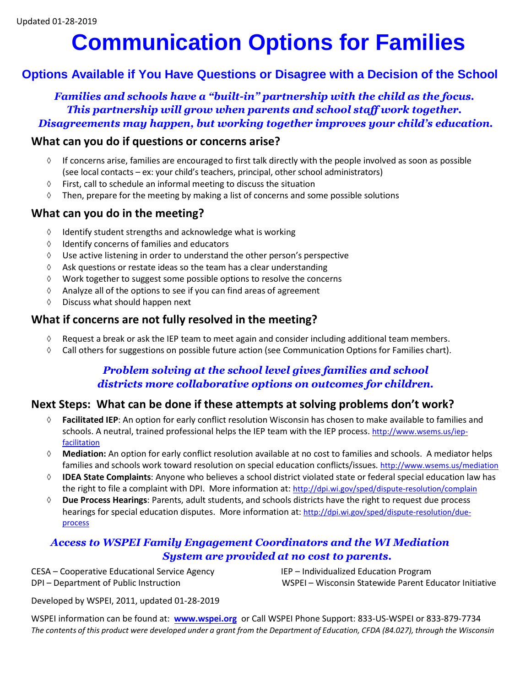## **Communication Options for Families**

#### **Options Available if You Have Questions or Disagree with a Decision of the School**

*Families and schools have a "built-in" partnership with the child as the focus. This partnership will grow when parents and school staff work together. Disagreements may happen, but working together improves your child's education.*

#### **What can you do if questions or concerns arise?**

- ◊ If concerns arise, families are encouraged to first talk directly with the people involved as soon as possible (see local contacts – ex: your child's teachers, principal, other school administrators)
- ◊ First, call to schedule an informal meeting to discuss the situation
- $\Diamond$  Then, prepare for the meeting by making a list of concerns and some possible solutions

#### **What can you do in the meeting?**

- ◊ Identify student strengths and acknowledge what is working
- ◊ Identify concerns of families and educators
- ◊ Use active listening in order to understand the other person's perspective
- ◊ Ask questions or restate ideas so the team has a clear understanding
- ◊ Work together to suggest some possible options to resolve the concerns
- ◊ Analyze all of the options to see if you can find areas of agreement
- ◊ Discuss what should happen next

#### **What if concerns are not fully resolved in the meeting?**

- $\Diamond$  Request a break or ask the IEP team to meet again and consider including additional team members.
- $\Diamond$  Call others for suggestions on possible future action (see Communication Options for Families chart).

#### *Problem solving at the school level gives families and school districts more collaborative options on outcomes for children.*

#### **Next Steps: What can be done if these attempts at solving problems don't work?**

- ◊ **Facilitated IEP**: An option for early conflict resolution Wisconsin has chosen to make available to families and schools. A neutral, trained professional helps the IEP team with the IEP process. [http://www.wsems.us/iep](http://www.wsems.us/iep-facilitation)[facilitation](http://www.wsems.us/iep-facilitation)
- ◊ **Mediation:** An option for early conflict resolution available at no cost to families and schools. A mediator helps families and schools work toward resolution on special education conflicts/issues. <http://www.wsems.us/mediation>
- ◊ **IDEA State Complaints**: Anyone who believes a school district violated state or federal special education law has the right to file a complaint with DPI. More information at: <http://dpi.wi.gov/sped/dispute-resolution/complain>
- ◊ **Due Process Hearings**: Parents, adult students, and schools districts have the right to request due process hearings for special education disputes. More information at: [http://dpi.wi.gov/sped/dispute-resolution/due](http://dpi.wi.gov/sped/dispute-resolution/due-process)[process](http://dpi.wi.gov/sped/dispute-resolution/due-process)

#### *Access to WSPEI Family Engagement Coordinators and the WI Mediation System are provided at no cost to parents.*

CESA – Cooperative Educational Service Agency IEP – Individualized Education Program

DPI – Department of Public Instruction WSPEI – Wisconsin Statewide Parent Educator Initiative

Developed by WSPEI, 2011, updated 01-28-2019

WSPEI information can be found at: **[www.wspei.org](http://www.wspei.org/)** or Call WSPEI Phone Support: 833-US-WSPEI or 833-879-7734 *The contents of this product were developed under a grant from the Department of Education, CFDA (84.027), through the Wisconsin*